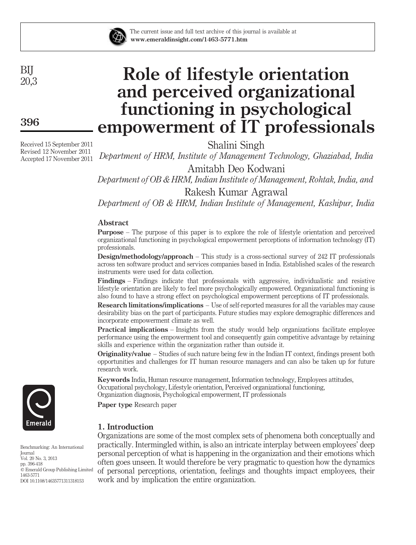

BIJ 20,3

396

Received 15 September 2011 Revised 12 November 2011 Accepted 17 November 2011

# Role of lifestyle orientation and perceived organizational functioning in psychological empowerment of IT professionals

Shalini Singh *Department of HRM, Institute of Management Technology, Ghaziabad, India*

Amitabh Deo Kodwani *Department of OB & HRM, Indian Institute of Management, Rohtak, India, and*

Rakesh Kumar Agrawal

*Department of OB & HRM, Indian Institute of Management, Kashipur, India*

## Abstract

Purpose – The purpose of this paper is to explore the role of lifestyle orientation and perceived organizational functioning in psychological empowerment perceptions of information technology (IT) professionals.

Design/methodology/approach – This study is a cross-sectional survey of 242 IT professionals across ten software product and services companies based in India. Established scales of the research instruments were used for data collection.

Findings – Findings indicate that professionals with aggressive, individualistic and resistive lifestyle orientation are likely to feel more psychologically empowered. Organizational functioning is also found to have a strong effect on psychological empowerment perceptions of IT professionals.

Research limitations/implications – Use of self-reported measures for all the variables may cause desirability bias on the part of participants. Future studies may explore demographic differences and incorporate empowerment climate as well.

Practical implications – Insights from the study would help organizations facilitate employee performance using the empowerment tool and consequently gain competitive advantage by retaining skills and experience within the organization rather than outside it.

Originality/value – Studies of such nature being few in the Indian IT context, findings present both opportunities and challenges for IT human resource managers and can also be taken up for future research work.

Keywords India, Human resource management, Information technology, Employees attitudes, Occupational psychology, Lifestyle orientation, Perceived organizational functioning, Organization diagnosis, Psychological empowerment, IT professionals

Paper type Research paper

## 1. Introduction

Organizations are some of the most complex sets of phenomena both conceptually and practically. Intermingled within, is also an intricate interplay between employees' deep personal perception of what is happening in the organization and their emotions which often goes unseen. It would therefore be very pragmatic to question how the dynamics of personal perceptions, orientation, feelings and thoughts impact employees, their work and by implication the entire organization.



Benchmarking: An International Journal .<br>Vol. 20 No. 3, 2013 pp. 396-418  $\degree$  Emerald Group Publishing Limited 1463-5771 DOI 10.1108/14635771311318153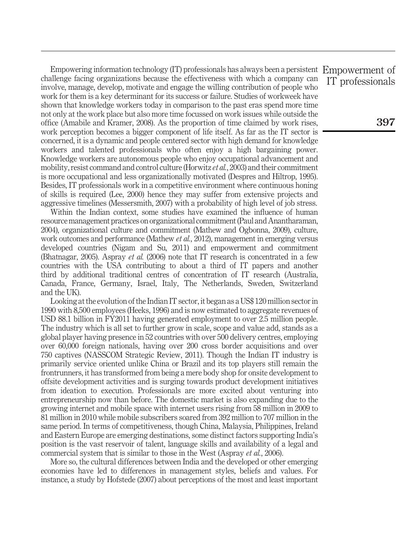Empowering information technology (IT) professionals has always been a persistent Empowerment of challenge facing organizations because the effectiveness with which a company can involve, manage, develop, motivate and engage the willing contribution of people who work for them is a key determinant for its success or failure. Studies of workweek have shown that knowledge workers today in comparison to the past eras spend more time not only at the work place but also more time focussed on work issues while outside the office (Amabile and Kramer, 2008). As the proportion of time claimed by work rises, work perception becomes a bigger component of life itself. As far as the IT sector is concerned, it is a dynamic and people centered sector with high demand for knowledge workers and talented professionals who often enjoy a high bargaining power. Knowledge workers are autonomous people who enjoy occupational advancement and mobility, resist command and control culture (Horwitz *et al.*, 2003) and their commitment is more occupational and less organizationally motivated (Despres and Hiltrop, 1995). Besides, IT professionals work in a competitive environment where continuous honing of skills is required (Lee, 2000) hence they may suffer from extensive projects and aggressive timelines (Messersmith, 2007) with a probability of high level of job stress.

Within the Indian context, some studies have examined the influence of human resource management practices on organizational commitment (Paul and Anantharaman, 2004), organizational culture and commitment (Mathew and Ogbonna, 2009), culture, work outcomes and performance (Mathew *et al.*, 2012), management in emerging versus developed countries (Nigam and Su, 2011) and empowerment and commitment (Bhatnagar, 2005). Aspray *et al.* (2006) note that IT research is concentrated in a few countries with the USA contributing to about a third of IT papers and another third by additional traditional centres of concentration of IT research (Australia, Canada, France, Germany, Israel, Italy, The Netherlands, Sweden, Switzerland and the UK).

Looking at the evolution of the Indian IT sector, it began as a US\$ 120 million sector in 1990 with 8,500 employees (Heeks, 1996) and is now estimated to aggregate revenues of USD 88.1 billion in FY2011 having generated employment to over 2.5 million people. The industry which is all set to further grow in scale, scope and value add, stands as a global player having presence in 52 countries with over 500 delivery centres, employing over 60,000 foreign nationals, having over 200 cross border acquisitions and over 750 captives (NASSCOM Strategic Review, 2011). Though the Indian IT industry is primarily service oriented unlike China or Brazil and its top players still remain the frontrunners, it has transformed from being a mere body shop for onsite development to offsite development activities and is surging towards product development initiatives from ideation to execution. Professionals are more excited about venturing into entrepreneurship now than before. The domestic market is also expanding due to the growing internet and mobile space with internet users rising from 58 million in 2009 to 81 million in 2010 while mobile subscribers soared from 392 million to 707 million in the same period. In terms of competitiveness, though China, Malaysia, Philippines, Ireland and Eastern Europe are emerging destinations, some distinct factors supporting India's position is the vast reservoir of talent, language skills and availability of a legal and commercial system that is similar to those in the West (Aspray *et al.*, 2006).

More so, the cultural differences between India and the developed or other emerging economies have led to differences in management styles, beliefs and values. For instance, a study by Hofstede (2007) about perceptions of the most and least important

IT professionals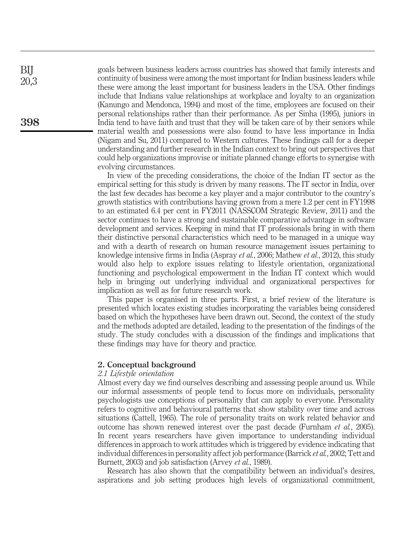goals between business leaders across countries has showed that family interests and continuity of business were among the most important for Indian business leaders while these were among the least important for business leaders in the USA. Other findings include that Indians value relationships at workplace and loyalty to an organization (Kanungo and Mendonca, 1994) and most of the time, employees are focused on their personal relationships rather than their performance. As per Sinha (1995), juniors in India tend to have faith and trust that they will be taken care of by their seniors while material wealth and possessions were also found to have less importance in India (Nigam and Su, 2011) compared to Western cultures. These findings call for a deeper understanding and further research in the Indian context to bring out perspectives that could help organizations improvise or initiate planned change efforts to synergise with evolving circumstances.

In view of the preceding considerations, the choice of the Indian IT sector as the empirical setting for this study is driven by many reasons. The IT sector in India, over the last few decades has become a key player and a major contributor to the country's growth statistics with contributions having grown from a mere 1.2 per cent in FY1998 to an estimated 6.4 per cent in FY2011 (NASSCOM Strategic Review, 2011) and the sector continues to have a strong and sustainable comparative advantage in software development and services. Keeping in mind that IT professionals bring in with them their distinctive personal characteristics which need to be managed in a unique way and with a dearth of research on human resource management issues pertaining to knowledge intensive firms in India (Aspray *et al.*, 2006; Mathew *et al.*, 2012), this study would also help to explore issues relating to lifestyle orientation, organizational functioning and psychological empowerment in the Indian IT context which would help in bringing out underlying individual and organizational perspectives for implication as well as for future research work.

This paper is organised in three parts. First, a brief review of the literature is presented which locates existing studies incorporating the variables being considered based on which the hypotheses have been drawn out. Second, the context of the study and the methods adopted are detailed, leading to the presentation of the findings of the study. The study concludes with a discussion of the findings and implications that these findings may have for theory and practice.

#### 2. Conceptual background

#### *2.1 Lifestyle orientation*

Almost every day we find ourselves describing and assessing people around us. While our informal assessments of people tend to focus more on individuals, personality psychologists use conceptions of personality that can apply to everyone. Personality refers to cognitive and behavioural patterns that show stability over time and across situations (Cattell, 1965). The role of personality traits on work related behavior and outcome has shown renewed interest over the past decade (Furnham *et al.*, 2005). In recent years researchers have given importance to understanding individual differences in approach to work attitudes which is triggered by evidence indicating that individual differences in personality affect job performance (Barrick *et al.*, 2002; Tett and Burnett, 2003) and job satisfaction (Arvey *et al.*, 1989).

Research has also shown that the compatibility between an individual's desires, aspirations and job setting produces high levels of organizational commitment,

BIJ 20,3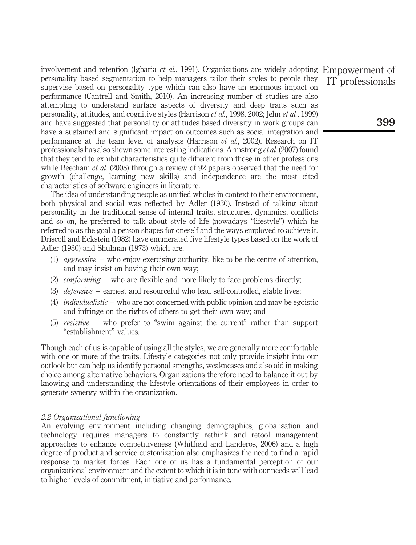involvement and retention (Igbaria *et al.*, 1991). Organizations are widely adopting Empowerment of personality based segmentation to help managers tailor their styles to people they supervise based on personality type which can also have an enormous impact on performance (Cantrell and Smith, 2010). An increasing number of studies are also attempting to understand surface aspects of diversity and deep traits such as personality, attitudes, and cognitive styles (Harrison *et al.*, 1998, 2002; Jehn *et al.*, 1999) and have suggested that personality or attitudes based diversity in work groups can have a sustained and significant impact on outcomes such as social integration and performance at the team level of analysis (Harrison *et al.*, 2002). Research on IT professionals has also shown some interesting indications. Armstrong *et al.* (2007) found that they tend to exhibit characteristics quite different from those in other professions while Beecham *et al.* (2008) through a review of 92 papers observed that the need for growth (challenge, learning new skills) and independence are the most cited characteristics of software engineers in literature.

The idea of understanding people as unified wholes in context to their environment, both physical and social was reflected by Adler (1930). Instead of talking about personality in the traditional sense of internal traits, structures, dynamics, conflicts and so on, he preferred to talk about style of life (nowadays "lifestyle") which he referred to as the goal a person shapes for oneself and the ways employed to achieve it. Driscoll and Eckstein (1982) have enumerated five lifestyle types based on the work of Adler (1930) and Shulman (1973) which are:

- (1) *aggressive* who enjoy exercising authority, like to be the centre of attention, and may insist on having their own way;
- (2) *conforming* who are flexible and more likely to face problems directly;
- (3) *defensive* earnest and resourceful who lead self-controlled, stable lives;
- (4) *individualistic* who are not concerned with public opinion and may be egoistic and infringe on the rights of others to get their own way; and
- (5) *resistive* who prefer to "swim against the current" rather than support "establishment" values.

Though each of us is capable of using all the styles, we are generally more comfortable with one or more of the traits. Lifestyle categories not only provide insight into our outlook but can help us identify personal strengths, weaknesses and also aid in making choice among alternative behaviors. Organizations therefore need to balance it out by knowing and understanding the lifestyle orientations of their employees in order to generate synergy within the organization.

#### *2.2 Organizational functioning*

An evolving environment including changing demographics, globalisation and technology requires managers to constantly rethink and retool management approaches to enhance competitiveness (Whitfield and Landeros, 2006) and a high degree of product and service customization also emphasizes the need to find a rapid response to market forces. Each one of us has a fundamental perception of our organizational environment and the extent to which it is in tune with our needs will lead to higher levels of commitment, initiative and performance.

IT professionals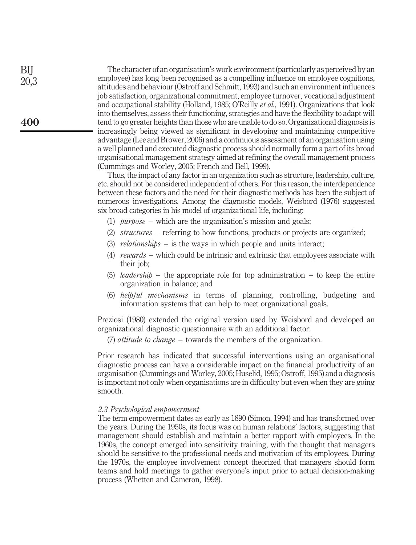The character of an organisation's work environment (particularly as perceived by an employee) has long been recognised as a compelling influence on employee cognitions, attitudes and behaviour (Ostroff and Schmitt, 1993) and such an environment influences job satisfaction, organizational commitment, employee turnover, vocational adjustment and occupational stability (Holland, 1985; O'Reilly *et al.*, 1991). Organizations that look into themselves, assess their functioning, strategies and have the flexibility to adapt will tend to go greater heights than those who are unable to do so. Organizational diagnosis is increasingly being viewed as significant in developing and maintaining competitive advantage (Lee and Brower, 2006) and a continuous assessment of an organisation using a well planned and executed diagnostic process should normally form a part of its broad organisational management strategy aimed at refining the overall management process (Cummings and Worley, 2005; French and Bell, 1999).

Thus, the impact of any factor in an organization such as structure, leadership, culture, etc. should not be considered independent of others. For this reason, the interdependence between these factors and the need for their diagnostic methods has been the subject of numerous investigations. Among the diagnostic models, Weisbord (1976) suggested six broad categories in his model of organizational life, including:

- (1) *purpose* which are the organization's mission and goals;
- (2) *structures* referring to how functions, products or projects are organized;
- (3) *relationships* is the ways in which people and units interact;
- (4) *rewards* which could be intrinsic and extrinsic that employees associate with their job;
- (5) *leadership* the appropriate role for top administration to keep the entire organization in balance; and
- (6) *helpful mechanisms* in terms of planning, controlling, budgeting and information systems that can help to meet organizational goals.

Preziosi (1980) extended the original version used by Weisbord and developed an organizational diagnostic questionnaire with an additional factor:

(7) *attitude to change* – towards the members of the organization.

Prior research has indicated that successful interventions using an organisational diagnostic process can have a considerable impact on the financial productivity of an organisation (Cummings and Worley, 2005; Huselid, 1995; Ostroff, 1995) and a diagnosis is important not only when organisations are in difficulty but even when they are going smooth.

## *2.3 Psychological empowerment*

The term empowerment dates as early as 1890 (Simon, 1994) and has transformed over the years. During the 1950s, its focus was on human relations' factors, suggesting that management should establish and maintain a better rapport with employees. In the 1960s, the concept emerged into sensitivity training, with the thought that managers should be sensitive to the professional needs and motivation of its employees. During the 1970s, the employee involvement concept theorized that managers should form teams and hold meetings to gather everyone's input prior to actual decision-making process (Whetten and Cameron, 1998).

400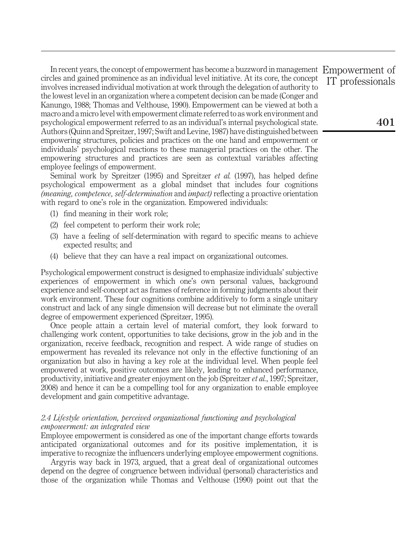In recent years, the concept of empowerment has become a buzzword in management Empowerment of circles and gained prominence as an individual level initiative. At its core, the concept involves increased individual motivation at work through the delegation of authority to the lowest level in an organization where a competent decision can be made (Conger and Kanungo, 1988; Thomas and Velthouse, 1990). Empowerment can be viewed at both a macro and a micro level with empowerment climate referred to as work environment and psychological empowerment referred to as an individual's internal psychological state. Authors (Quinn and Spreitzer, 1997; Swift and Levine, 1987) have distinguished between empowering structures, policies and practices on the one hand and empowerment or individuals' psychological reactions to these managerial practices on the other. The empowering structures and practices are seen as contextual variables affecting employee feelings of empowerment.

Seminal work by Spreitzer (1995) and Spreitzer *et al.* (1997), has helped define psychological empowerment as a global mindset that includes four cognitions *(meaning, competence, self-determination* and *impact)* reflecting a proactive orientation with regard to one's role in the organization. Empowered individuals:

- (1) find meaning in their work role;
- (2) feel competent to perform their work role;
- (3) have a feeling of self-determination with regard to specific means to achieve expected results; and
- (4) believe that they can have a real impact on organizational outcomes.

Psychological empowerment construct is designed to emphasize individuals' subjective experiences of empowerment in which one's own personal values, background experience and self-concept act as frames of reference in forming judgments about their work environment. These four cognitions combine additively to form a single unitary construct and lack of any single dimension will decrease but not eliminate the overall degree of empowerment experienced (Spreitzer, 1995).

Once people attain a certain level of material comfort, they look forward to challenging work content, opportunities to take decisions, grow in the job and in the organization, receive feedback, recognition and respect. A wide range of studies on empowerment has revealed its relevance not only in the effective functioning of an organization but also in having a key role at the individual level. When people feel empowered at work, positive outcomes are likely, leading to enhanced performance, productivity, initiative and greater enjoyment on the job (Spreitzer *et al.*, 1997; Spreitzer, 2008) and hence it can be a compelling tool for any organization to enable employee development and gain competitive advantage.

## *2.4 Lifestyle orientation, perceived organizational functioning and psychological empowerment: an integrated view*

Employee empowerment is considered as one of the important change efforts towards anticipated organizational outcomes and for its positive implementation, it is imperative to recognize the influencers underlying employee empowerment cognitions.

Argyris way back in 1973, argued, that a great deal of organizational outcomes depend on the degree of congruence between individual (personal) characteristics and those of the organization while Thomas and Velthouse (1990) point out that the

IT professionals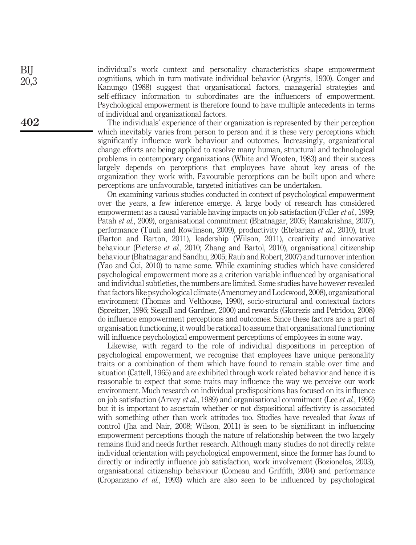individual's work context and personality characteristics shape empowerment cognitions, which in turn motivate individual behavior (Argyris, 1930). Conger and Kanungo (1988) suggest that organisational factors, managerial strategies and self-efficacy information to subordinates are the influencers of empowerment. Psychological empowerment is therefore found to have multiple antecedents in terms of individual and organizational factors.

The individuals' experience of their organization is represented by their perception which inevitably varies from person to person and it is these very perceptions which significantly influence work behaviour and outcomes. Increasingly, organizational change efforts are being applied to resolve many human, structural and technological problems in contemporary organizations (White and Wooten, 1983) and their success largely depends on perceptions that employees have about key areas of the organization they work with. Favourable perceptions can be built upon and where perceptions are unfavourable, targeted initiatives can be undertaken.

On examining various studies conducted in context of psychological empowerment over the years, a few inference emerge. A large body of research has considered empowerment as a causal variable having impacts on job satisfaction (Fuller *et al.*, 1999; Patah *et al.*, 2009), organisational commitment (Bhatnagar, 2005; Ramakrishna, 2007), performance (Tuuli and Rowlinson, 2009), productivity (Etebarian *et al.*, 2010), trust (Barton and Barton, 2011), leadership (Wilson, 2011), creativity and innovative behaviour (Pieterse *et al.*, 2010; Zhang and Bartol, 2010), organisational citizenship behaviour (Bhatnagar and Sandhu, 2005; Raub and Robert, 2007) and turnover intention (Yao and Cui, 2010) to name some. While examining studies which have considered psychological empowerment more as a criterion variable influenced by organisational and individual subtleties, the numbers are limited. Some studies have however revealed that factors like psychological climate (Amenumey and Lockwood, 2008), organizational environment (Thomas and Velthouse, 1990), socio-structural and contextual factors (Spreitzer, 1996; Siegall and Gardner, 2000) and rewards (Gkorezis and Petridou, 2008) do influence empowerment perceptions and outcomes. Since these factors are a part of organisation functioning, it would be rational to assume that organisational functioning will influence psychological empowerment perceptions of employees in some way.

Likewise, with regard to the role of individual dispositions in perception of psychological empowerment, we recognise that employees have unique personality traits or a combination of them which have found to remain stable over time and situation (Cattell, 1965) and are exhibited through work related behavior and hence it is reasonable to expect that some traits may influence the way we perceive our work environment. Much research on individual predispositions has focused on its influence on job satisfaction (Arvey *et al.*, 1989) and organisational commitment (Lee *et al.*, 1992) but it is important to ascertain whether or not dispositional affectivity is associated with something other than work attitudes too. Studies have revealed that *locus* of control ( Jha and Nair, 2008; Wilson, 2011) is seen to be significant in influencing empowerment perceptions though the nature of relationship between the two largely remains fluid and needs further research. Although many studies do not directly relate individual orientation with psychological empowerment, since the former has found to directly or indirectly influence job satisfaction, work involvement (Bozionelos, 2003), organisational citizenship behaviour (Comeau and Griffith, 2004) and performance (Cropanzano *et al.*, 1993) which are also seen to be influenced by psychological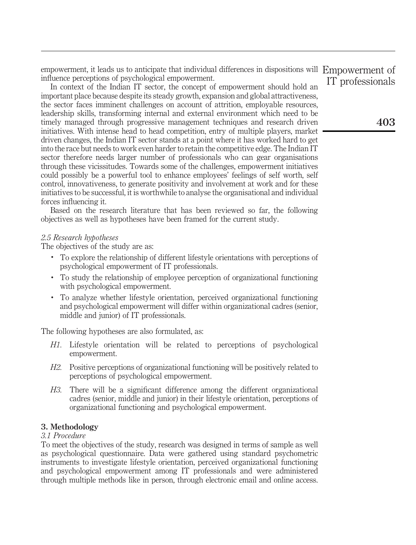empowerment, it leads us to anticipate that individual differences in dispositions will Empowerment of influence perceptions of psychological empowerment.

In context of the Indian IT sector, the concept of empowerment should hold an important place because despite its steady growth, expansion and global attractiveness, the sector faces imminent challenges on account of attrition, employable resources, leadership skills, transforming internal and external environment which need to be timely managed through progressive management techniques and research driven initiatives. With intense head to head competition, entry of multiple players, market driven changes, the Indian IT sector stands at a point where it has worked hard to get into the race but needs to work even harder to retain the competitive edge. The Indian IT sector therefore needs larger number of professionals who can gear organisations through these vicissitudes. Towards some of the challenges, empowerment initiatives could possibly be a powerful tool to enhance employees' feelings of self worth, self control, innovativeness, to generate positivity and involvement at work and for these initiatives to be successful, it is worthwhile to analyse the organisational and individual forces influencing it.

Based on the research literature that has been reviewed so far, the following objectives as well as hypotheses have been framed for the current study.

## *2.5 Research hypotheses*

The objectives of the study are as:

- . To explore the relationship of different lifestyle orientations with perceptions of psychological empowerment of IT professionals.
- . To study the relationship of employee perception of organizational functioning with psychological empowerment.
- . To analyze whether lifestyle orientation, perceived organizational functioning and psychological empowerment will differ within organizational cadres (senior, middle and junior) of IT professionals.

The following hypotheses are also formulated, as:

- *H1.* Lifestyle orientation will be related to perceptions of psychological empowerment.
- *H2.* Positive perceptions of organizational functioning will be positively related to perceptions of psychological empowerment.
- *H3.* There will be a significant difference among the different organizational cadres (senior, middle and junior) in their lifestyle orientation, perceptions of organizational functioning and psychological empowerment.

## 3. Methodology

#### *3.1 Procedure*

To meet the objectives of the study, research was designed in terms of sample as well as psychological questionnaire. Data were gathered using standard psychometric instruments to investigate lifestyle orientation, perceived organizational functioning and psychological empowerment among IT professionals and were administered through multiple methods like in person, through electronic email and online access.

IT professionals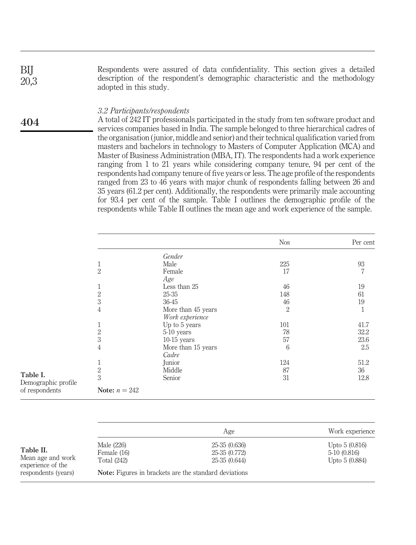Respondents were assured of data confidentiality. This section gives a detailed description of the respondent's demographic characteristic and the methodology adopted in this study. BIJ 20,3

## *3.2 Participants/respondents*

404

A total of 242 IT professionals participated in the study from ten software product and services companies based in India. The sample belonged to three hierarchical cadres of the organisation (junior, middle and senior) and their technical qualification varied from masters and bachelors in technology to Masters of Computer Application (MCA) and Master of Business Administration (MBA, IT). The respondents had a work experience ranging from 1 to 21 years while considering company tenure, 94 per cent of the respondents had company tenure of five years or less. The age profile of the respondents ranged from 23 to 46 years with major chunk of respondents falling between 26 and 35 years (61.2 per cent). Additionally, the respondents were primarily male accounting for 93.4 per cent of the sample. Table I outlines the demographic profile of the respondents while Table II outlines the mean age and work experience of the sample.

|                                 |                 |                                       | <b>Nos</b>     | Per cent     |
|---------------------------------|-----------------|---------------------------------------|----------------|--------------|
|                                 |                 | Gender                                |                |              |
|                                 | 1               | Male                                  | 225            | 93           |
|                                 | $\overline{2}$  | Female<br>Age                         | 17             | 7            |
|                                 | T               | Less than 25                          | 46             | 19           |
|                                 | $\overline{2}$  | 25-35                                 | 148            | 61           |
|                                 | 3               | 36-45                                 | 46             | 19           |
|                                 | $\overline{4}$  | More than 45 years<br>Work experience | $\overline{2}$ | $\mathbf{1}$ |
|                                 | $\mathbf{1}$    | Up to 5 years                         | 101            | 41.7         |
|                                 | $\sqrt{2}$      | 5-10 years                            | 78             | 32.2         |
|                                 | $\overline{3}$  | $10-15$ years                         | 57             | 23.6         |
|                                 | $\overline{4}$  | More than 15 years<br>Cadre           | 6              | 2.5          |
|                                 | 1               | Junior                                | 124            | 51.2         |
|                                 | $\overline{2}$  | Middle                                | 87             | 36           |
| Table I.<br>Demographic profile | 3               | Senior                                | 31             | 12.8         |
| of respondents                  | Note: $n = 242$ |                                       |                |              |

|                                                                            |                                          | Age                                                                                                             | Work experience                                    |
|----------------------------------------------------------------------------|------------------------------------------|-----------------------------------------------------------------------------------------------------------------|----------------------------------------------------|
| Table II.<br>Mean age and work<br>experience of the<br>respondents (years) | Male (226)<br>Female (16)<br>Total (242) | 25-35 (0.636)<br>25-35 (0.772)<br>25-35 (0.644)<br><b>Note:</b> Figures in brackets are the standard deviations | Upto $5(0.816)$<br>$5-10(0.816)$<br>Upto 5 (0.884) |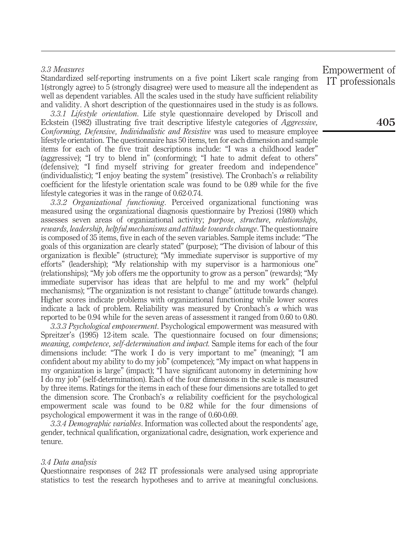## *3.3 Measures*

Standardized self-reporting instruments on a five point Likert scale ranging from 1(strongly agree) to 5 (strongly disagree) were used to measure all the independent as well as dependent variables. All the scales used in the study have sufficient reliability and validity. A short description of the questionnaires used in the study is as follows.

*3.3.1 Lifestyle orientation*. Life style questionnaire developed by Driscoll and Eckstein (1982) illustrating five trait descriptive lifestyle categories of *Aggressive, Conforming, Defensive, Individualistic and Resistive* was used to measure employee lifestyle orientation. The questionnaire has 50 items, ten for each dimension and sample items for each of the five trait descriptions include: "I was a childhood leader" (aggressive); "I try to blend in" (conforming); "I hate to admit defeat to others" (defensive); "I find myself striving for greater freedom and independence" (individualistic); "I enjoy beating the system" (resistive). The Cronbach's  $\alpha$  reliability coefficient for the lifestyle orientation scale was found to be 0.89 while for the five lifestyle categories it was in the range of 0.62-0.74.

*3.3.2 Organizational functioning*. Perceived organizational functioning was measured using the organizational diagnosis questionnaire by Preziosi (1980) which assesses seven areas of organizational activity; *purpose, structure, relationships, rewards, leadership, helpful mechanisms and attitude towards change*. The questionnaire is composed of 35 items, five in each of the seven variables. Sample items include: "The goals of this organization are clearly stated" (purpose); "The division of labour of this organization is flexible" (structure); "My immediate supervisor is supportive of my efforts" (leadership); "My relationship with my supervisor is a harmonious one" (relationships); "My job offers me the opportunity to grow as a person" (rewards); "My immediate supervisor has ideas that are helpful to me and my work" (helpful mechanisms); "The organization is not resistant to change" (attitude towards change). Higher scores indicate problems with organizational functioning while lower scores indicate a lack of problem. Reliability was measured by Cronbach's  $\alpha$  which was reported to be 0.94 while for the seven areas of assessment it ranged from 0.60 to 0.80.

*3.3.3 Psychological empowerment*. Psychological empowerment was measured with Spreitzer's (1995) 12-item scale. The questionnaire focused on four dimensions; *meaning, competence, self-determination and impact.* Sample items for each of the four dimensions include: "The work I do is very important to me" (meaning); "I am confident about my ability to do my job" (competence); "My impact on what happens in my organization is large" (impact); "I have significant autonomy in determining how I do my job" (self-determination). Each of the four dimensions in the scale is measured by three items. Ratings for the items in each of these four dimensions are totalled to get the dimension score. The Cronbach's  $\alpha$  reliability coefficient for the psychological empowerment scale was found to be 0.82 while for the four dimensions of psychological empowerment it was in the range of 0.60-0.69.

*3.3.4 Demographic variables*. Information was collected about the respondents' age, gender, technical qualification, organizational cadre, designation, work experience and tenure.

#### *3.4 Data analysis*

Questionnaire responses of 242 IT professionals were analysed using appropriate statistics to test the research hypotheses and to arrive at meaningful conclusions.

Empowerment of IT professionals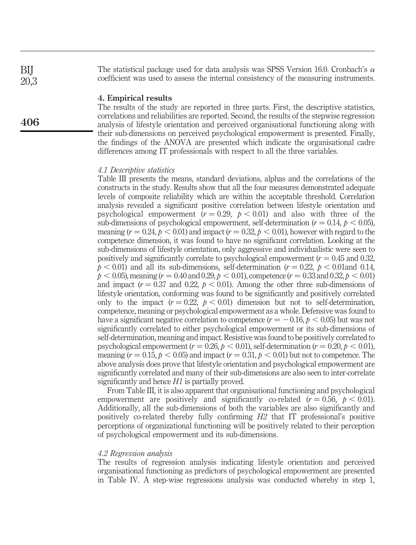The statistical package used for data analysis was SPSS Version 16.0. Cronbach's  $\alpha$ coefficient was used to assess the internal consistency of the measuring instruments.

## 4. Empirical results

The results of the study are reported in three parts. First, the descriptive statistics, correlations and reliabilities are reported. Second, the results of the stepwise regression analysis of lifestyle orientation and perceived organisational functioning along with their sub-dimensions on perceived psychological empowerment is presented. Finally, the findings of the ANOVA are presented which indicate the organisational cadre differences among IT professionals with respect to all the three variables.

## *4.1 Descriptive statistics*

Table III presents the means, standard deviations, alphas and the correlations of the constructs in the study. Results show that all the four measures demonstrated adequate levels of composite reliability which are within the acceptable threshold. Correlation analysis revealed a significant positive correlation between lifestyle orientation and psychological empowerment  $(r = 0.29, p < 0.01)$  and also with three of the sub-dimensions of psychological empowerment, self-determination ( $r = 0.14$ ,  $p < 0.05$ ), meaning  $(r = 0.24, p < 0.01)$  and impact  $(r = 0.32, p < 0.01)$ , however with regard to the competence dimension, it was found to have no significant correlation. Looking at the sub-dimensions of lifestyle orientation, only aggressive and individualistic were seen to positively and significantly correlate to psychological empowerment  $(r = 0.45$  and 0.32,  $p < 0.01$ ) and all its sub-dimensions, self-determination ( $r = 0.22$ ,  $p < 0.01$  and 0.14,  $p < 0.05$ ), meaning ( $r = 0.40$  and  $0.29, p < 0.01$ ), competence ( $r = 0.33$  and  $0.32, p < 0.01$ ) and impact  $(r = 0.37 \text{ and } 0.22, p < 0.01)$ . Among the other three sub-dimensions of lifestyle orientation, conforming was found to be significantly and positively correlated only to the impact  $(r = 0.22, p < 0.01)$  dimension but not to self-determination, competence, meaning or psychological empowerment as a whole. Defensive was found to have a significant negative correlation to competence  $(r = -0.16, p < 0.05)$  but was not significantly correlated to either psychological empowerment or its sub-dimensions of self-determination, meaning and impact. Resistive was found to be positively correlated to psychological empowerment ( $r = 0.26$ ,  $p < 0.01$ ), self-determination ( $r = 0.20$ ,  $p < 0.01$ ), meaning ( $r = 0.15$ ,  $p < 0.05$ ) and impact ( $r = 0.31$ ,  $p < 0.01$ ) but not to competence. The above analysis does prove that lifestyle orientation and psychological empowerment are significantly correlated and many of their sub-dimensions are also seen to inter-correlate significantly and hence *H1* is partially proved.

From Table III, it is also apparent that organisational functioning and psychological empowerment are positively and significantly co-related  $(r = 0.56, p < 0.01)$ . Additionally, all the sub-dimensions of both the variables are also significantly and positively co-related thereby fully confirming *H2* that IT professional's positive perceptions of organizational functioning will be positively related to their perception of psychological empowerment and its sub-dimensions.

#### *4.2 Regression analysis*

The results of regression analysis indicating lifestyle orientation and perceived organisational functioning as predictors of psychological empowerment are presented in Table IV. A step-wise regressions analysis was conducted whereby in step 1,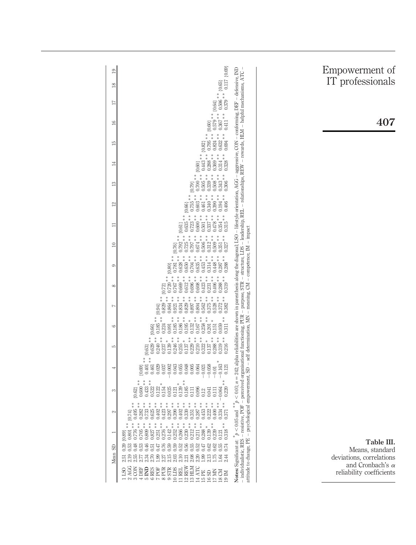| $\overline{19}$ | $0.117\ (0.69)$                                                                                                                                                                                                                                                                                                   |                                                                                                                                                                                                                                                                                                                                                                                                                                                                                                                     | Empowerment of<br>IT professionals                  |
|-----------------|-------------------------------------------------------------------------------------------------------------------------------------------------------------------------------------------------------------------------------------------------------------------------------------------------------------------|---------------------------------------------------------------------------------------------------------------------------------------------------------------------------------------------------------------------------------------------------------------------------------------------------------------------------------------------------------------------------------------------------------------------------------------------------------------------------------------------------------------------|-----------------------------------------------------|
| $\frac{8}{2}$   | $0.506$ $*$ $*$ $0.65$                                                                                                                                                                                                                                                                                            |                                                                                                                                                                                                                                                                                                                                                                                                                                                                                                                     |                                                     |
| 17              | $0.379**$                                                                                                                                                                                                                                                                                                         |                                                                                                                                                                                                                                                                                                                                                                                                                                                                                                                     |                                                     |
| $\frac{6}{2}$   | $0.579$ $*$ $(0.64)$<br>$0.411$ $\hspace{0.1cm}^{***}$<br>$0.367$ **<br>${0.60}$                                                                                                                                                                                                                                  |                                                                                                                                                                                                                                                                                                                                                                                                                                                                                                                     | 407                                                 |
| $\overline{15}$ | $0.824$ **<br>$0.632$ <sup>**</sup><br>$0.795$ <sup>**</sup><br>$0.694$ **<br>(0.82)                                                                                                                                                                                                                              |                                                                                                                                                                                                                                                                                                                                                                                                                                                                                                                     |                                                     |
| $\mathbb{I}$    | $0.369$ **<br>$0.314$ $*$<br>$0.328$ $^{\ast}$<br>$0.443$ ** $\frac{1}{2}$<br>$0.288$ <sup>**</sup><br>${60.60}$                                                                                                                                                                                                  |                                                                                                                                                                                                                                                                                                                                                                                                                                                                                                                     |                                                     |
| $\frac{3}{2}$   | $0.505***$<br>$0.339$ <sup>**</sup><br>$0.508$ $\hspace{0.1cm}^{\ast}$<br>$0.343***$<br>$0.700$ <sup>**</sup> !<br>$0.306$ $^{\ast}$<br>(0.79)                                                                                                                                                                    |                                                                                                                                                                                                                                                                                                                                                                                                                                                                                                                     |                                                     |
| $\mathfrak{p}$  | $0.603$ * *<br>$0.461$ * * .<br>$0.340$ <sup>**</sup><br>$0.390$ <sup>**</sup><br>$0.194$ **<br>$0.406$ $^{\ast}$<br>* *<br>0.755<br>${0.66}$                                                                                                                                                                     |                                                                                                                                                                                                                                                                                                                                                                                                                                                                                                                     |                                                     |
| ᄅ               | $0.635***$<br>$0.723$ **<br>$0.600$ $^{\ast}$<br>$0.478$ $^{\ast}$<br>$0.354$ **<br>$0.315$ $^{\ast}$<br>$0.501$ $\hspace{0.1cm}^{***}$<br>$0.337$ **<br>${0.61}$                                                                                                                                                 |                                                                                                                                                                                                                                                                                                                                                                                                                                                                                                                     |                                                     |
| $\approx$       | $0.792$ ** $\frac{1}{2}$<br>* *<br>$\ast \ast$ 7610<br>$0.674$ **<br>$0.506$ <sup>**</sup><br>$0.312***$<br>$0.509$ **<br>$0.351$ * *<br>* * *<br>0.725<br>0.327<br>(0.76)                                                                                                                                        |                                                                                                                                                                                                                                                                                                                                                                                                                                                                                                                     |                                                     |
| G               | $\frac{1}{0.781}$ * *<br>$0.635^{\ast\ast}$<br>$0.314$ $\hspace{0.1cm}^{*}$ $\hspace{0.1cm}^*$<br>$0.448$ **<br>$0.650^{\; *}$<br>$0.704$ **<br>$0.453**$<br>$0.287$ $^{\ast}$ $^{\ast}$<br>$0.288$ *<br>(0.80)                                                                                                   |                                                                                                                                                                                                                                                                                                                                                                                                                                                                                                                     |                                                     |
| $^{\circ}$      | $0.720$ **<br>$\ast\ast\ 2010$<br>$0.669$ $^{\ast}$<br>$0.612$ **<br>$0.696$ <sup>**</sup><br>$0.608$ $^{\ast}$<br>$0.423$ <sup>**</sup><br>$0.231$ **<br>$0.406$ **<br>$0.288$ **<br>$0.319$ **<br>(0.72)                                                                                                        |                                                                                                                                                                                                                                                                                                                                                                                                                                                                                                                     |                                                     |
| r               | $0.829$ **<br>$0.864$ **<br>$0.921$ **<br>$0.834$ **<br>$*$<br>$0.804$ **<br>$*$<br>$0.372$ **<br>$0.382$ **<br>$0.897$ $^{\ast\ast}$<br>$0.562$ **<br>$0.375***$<br>0.829<br>0.528<br>(0.94)                                                                                                                     |                                                                                                                                                                                                                                                                                                                                                                                                                                                                                                                     |                                                     |
| $\circ$         | $0.185$ <sup>**</sup><br>$0.224$ * *<br>$0.185$ * *<br>$0.186$ <sup>**</sup><br>$0.195$ <sup>**</sup><br>$0.167$ **<br>$0.258$ **<br>$0.201$ $^{\ast}$ $^{\ast}$<br>$0.311^\ast$<br>$0.132$ $^{\ast}$<br>$\frac{36}{16}$<br>0.151<br>0.059<br>0.091<br>${0.66}$                                                   |                                                                                                                                                                                                                                                                                                                                                                                                                                                                                                                     |                                                     |
| LO              | $0.240$ **<br>$0.629$ **<br>$0.237$ **<br>$0.246$ **<br>$0.229$ **<br>$0.210$ $^{\ast}$<br>$0.255$ $^{\ast}$<br>$0.322 \times 10^{-4}$<br>$0.288$ **<br>$0.319$ **<br>$0.216$ $^{\ast\,*}$<br>$\frac{M}{N}$<br>$0.137$ $^{\ast}$<br>$0.139$ <sup>*</sup><br>0.137<br>(0.63)                                       |                                                                                                                                                                                                                                                                                                                                                                                                                                                                                                                     |                                                     |
| ↤               | $*$<br>$*$<br>0.461<br>$0.163\,$<br>0.401<br>$-0.058$<br>$0.055$<br>0.048<br>0.005<br>0.064<br>0.029<br>$0.037\,$<br>0.002<br>0.043<br>0.021<br>$0.121\,$<br>(690)<br>$-0.01$                                                                                                                                     |                                                                                                                                                                                                                                                                                                                                                                                                                                                                                                                     |                                                     |
| S               | $0.600^{\ast\ast}$<br>$0.433**$<br>$*$<br>$0.522$ **<br>* *<br>₩<br>$0.121$ *<br>0.154<br>0.185<br>0.220<br>0.122<br>0.096<br>0.025<br>0.111<br>0.064<br>0.041<br>0.111<br>(0.62)<br>0.12                                                                                                                         |                                                                                                                                                                                                                                                                                                                                                                                                                                                                                                                     |                                                     |
| 2               | * *<br>$0.453**$<br>$0.334$ **<br>$0.625$ **<br>$0.402$ **<br>$0.423$ **<br>$0.297$ $^{\ast}$<br>$0.390***$<br>$0.402$ $^{\ast}$<br>$0.330*$<br>$0.351$ $^{\ast\,*}$<br>$0.287$ **<br>$0.222$ <sup>**</sup><br>$0.400***$<br>苦苦<br>$0.282$ **<br>$0.733**$<br>0.495<br>0.371<br>(0.74)                            | $\gamma > 0.05$ and $\gamma^* > 0.01$ ; $n = 242$ ; alpha reliabilities are shown in parenthesis along the diagonal; LSO – lifestyle orientation, AGG – aggressive, CON – conforming, DEF – defensive, ND<br>- resistive POF - perceived organisational functioning, PUR - purpose, STR - structure, LDS - leadership, REL - redationships, REW - rewards, HLM - helpful mechanisms, ATC<br>attitude to change, PE - psychological empowerment, SD - self determination, MN - meaning, CM - competence, IM - impact |                                                     |
|                 | $0.809$ <sup>*</sup><br>꾟<br>0.776<br>827<br>0.85<br>0.276<br>$0.266$<br>$0.230$<br>0.212<br>0.288<br>0.139<br>0.142<br>0.252<br>$\frac{0.121}{0.318}$<br>0.705<br>0.211<br>$\begin{array}{c} \{0.89\} \\ 0.801 \end{array}$                                                                                      |                                                                                                                                                                                                                                                                                                                                                                                                                                                                                                                     |                                                     |
| $\Theta$        | $\begin{array}{c} 0.39 \\ 0.53 \end{array}$<br>0.46<br>0.48<br><b>C#7</b><br>0.76<br>0.59<br>0.62<br>0.59<br>0.52<br>0.52<br>0.47<br>$0.55$<br>0.74<br>0.56<br>0.55                                                                                                                                               | Notes: Significant at:<br>- individualistic, RES                                                                                                                                                                                                                                                                                                                                                                                                                                                                    | Table III.<br>Means, standard                       |
| Mean            |                                                                                                                                                                                                                                                                                                                   |                                                                                                                                                                                                                                                                                                                                                                                                                                                                                                                     | deviations, correlations<br>and Cronbach's $\alpha$ |
|                 | $\begin{array}{ll} 11 & 13 & 13 & 14 & 15 & 15 & 18 & 18 & 19 \\ 11 & 12 & 13 & 14 & 15 & 15 & 18 & 18 & 19 \\ 13 & 13 & 14 & 15 & 15 & 15 & 18 & 19 \\ 14 & 15 & 15 & 15 & 15 & 18 & 19 & 19 \\ 16 & 16 & 15 & 15 & 15 & 18 & 19 & 19 \\ 17 & 17 & 15 & 15 & 15 & 18 & 19 & 19 \\ 18 & 16 & 15 & $<br>$_{\odot}$ |                                                                                                                                                                                                                                                                                                                                                                                                                                                                                                                     | reliability coefficients                            |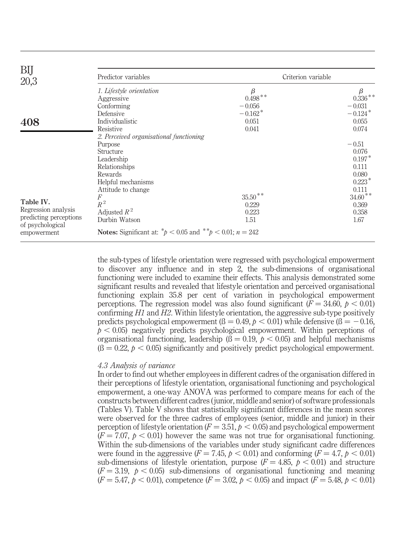| BIJ<br>20,3                                                                                   | Predictor variables                                                                                                                                                                                                                                                                                |                                                           | Criterion variable                                                                                         |
|-----------------------------------------------------------------------------------------------|----------------------------------------------------------------------------------------------------------------------------------------------------------------------------------------------------------------------------------------------------------------------------------------------------|-----------------------------------------------------------|------------------------------------------------------------------------------------------------------------|
| 408                                                                                           | 1. Lifestyle orientation<br>Aggressive<br>Conforming<br>Defensive<br>Individualistic<br>Resistive                                                                                                                                                                                                  | β<br>$0.498**$<br>$-0.056$<br>$-0.162*$<br>0.051<br>0.041 | $\frac{\beta}{0.336}$ **<br>$-0.031$<br>$-0.124*$<br>0.055<br>0.074                                        |
| Table IV.<br>Regression analysis<br>predicting perceptions<br>of psychological<br>empowerment | 2. Perceived organisational functioning<br>Purpose<br>Structure<br>Leadership<br>Relationships<br>Rewards<br>Helpful mechanisms<br>Attitude to change<br>$\overline{F}$<br>$R^2$<br>Adjusted $R^2$<br>Durbin Watson<br><b>Notes:</b> Significant at: $^{*}p < 0.05$ and $^{*}p < 0.01$ ; $n = 242$ | $35.50**$<br>0.229<br>0.223<br>1.51                       | $-0.51$<br>0.076<br>$0.197*$<br>0.111<br>0.080<br>$0.223*$<br>0.111<br>$34.60**$<br>0.369<br>0.358<br>1.67 |

the sub-types of lifestyle orientation were regressed with psychological empowerment to discover any influence and in step 2, the sub-dimensions of organisational functioning were included to examine their effects. This analysis demonstrated some significant results and revealed that lifestyle orientation and perceived organisational functioning explain 35.8 per cent of variation in psychological empowerment perceptions. The regression model was also found significant  $(F = 34.60, p < 0.01)$ confirming *H1* and *H2*. Within lifestyle orientation, the aggressive sub-type positively predicts psychological empowerment ( $\beta = 0.49$ ,  $p < 0.01$ ) while defensive ( $\beta = -0.16$ ,  $p < 0.05$ ) negatively predicts psychological empowerment. Within perceptions of organisational functioning, leadership  $(\beta = 0.19, p < 0.05)$  and helpful mechanisms  $( \beta = 0.22, \, p < 0.05)$  significantly and positively predict psychological empowerment.

#### *4.3 Analysis of variance*

In order to find out whether employees in different cadres of the organisation differed in their perceptions of lifestyle orientation, organisational functioning and psychological empowerment, a one-way ANOVA was performed to compare means for each of the constructs between different cadres (junior, middle and senior) of software professionals (Tables V). Table V shows that statistically significant differences in the mean scores were observed for the three cadres of employees (senior, middle and junior) in their perception of lifestyle orientation  $(F = 3.51, p < 0.05)$  and psychological empowerment  $(F = 7.07, p < 0.01)$  however the same was not true for organisational functioning. Within the sub-dimensions of the variables under study significant cadre differences were found in the aggressive  $(F = 7.45, p < 0.01)$  and conforming  $(F = 4.7, p < 0.01)$ sub-dimensions of lifestyle orientation, purpose  $(F = 4.85, p < 0.01)$  and structure  $(F = 3.19, p < 0.05)$  sub-dimensions of organisational functioning and meaning  $(F = 5.47, p < 0.01)$ , competence  $(F = 3.02, p < 0.05)$  and impact  $(F = 5.48, p < 0.01)$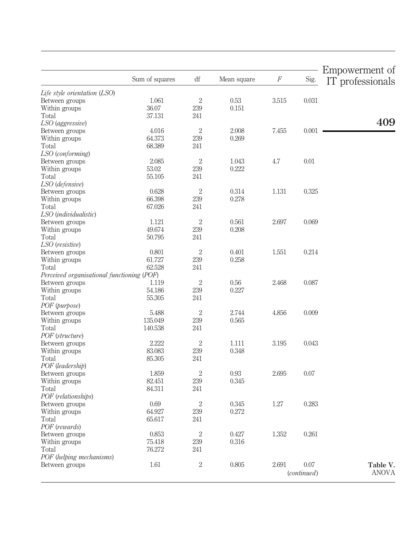|                                            | Sum of squares | df               | Mean square | $\boldsymbol{F}$ | Sig.        | Empowerment of<br>IT professionals |
|--------------------------------------------|----------------|------------------|-------------|------------------|-------------|------------------------------------|
| Life style orientation (LSO)               |                |                  |             |                  |             |                                    |
| Between groups                             | 1.061          | $\overline{2}$   | 0.53        | 3.515            | 0.031       |                                    |
| Within groups                              | 36.07          | 239              | 0.151       |                  |             |                                    |
| Total                                      | 37.131         | 241              |             |                  |             |                                    |
| LSO (aggressive)                           |                |                  |             |                  |             | 409                                |
| Between groups                             | 4.016          | $\overline{2}$   | 2.008       | 7.455            | 0.001       |                                    |
| Within groups                              | 64.373         | 239              | 0.269       |                  |             |                                    |
| Total                                      | 68.389         | 241              |             |                  |             |                                    |
|                                            |                |                  |             |                  |             |                                    |
| LSO (conforming)                           |                |                  |             |                  |             |                                    |
| Between groups                             | 2.085          | $\overline{2}$   | 1.043       | 4.7              | 0.01        |                                    |
| Within groups                              | 53.02          | 239              | 0.222       |                  |             |                                    |
| Total                                      | 55.105         | 241              |             |                  |             |                                    |
| LSO (defensive)                            |                |                  |             |                  |             |                                    |
| Between groups                             | 0.628          | $\overline{2}$   | 0.314       | 1.131            | 0.325       |                                    |
| Within groups                              | 66.398         | 239              | 0.278       |                  |             |                                    |
| Total                                      | 67.026         | 241              |             |                  |             |                                    |
| LSO (individualistic)                      |                |                  |             |                  |             |                                    |
| Between groups                             | 1.121          | 2                | 0.561       | 2.697            | 0.069       |                                    |
| Within groups                              | 49.674         | 239              | 0.208       |                  |             |                                    |
| Total                                      | 50.795         | 241              |             |                  |             |                                    |
| LSO (resistive)                            |                |                  |             |                  |             |                                    |
| Between groups                             | 0.801          | $\overline{2}$   | 0.401       | 1.551            | 0.214       |                                    |
| Within groups                              | 61.727         | 239              | 0.258       |                  |             |                                    |
| Total                                      | 62.528         | 241              |             |                  |             |                                    |
| Perceived organisational functioning (POF) |                |                  |             |                  |             |                                    |
| Between groups                             | 1.119          | $\overline{2}$   | 0.56        | 2.468            | 0.087       |                                    |
| Within groups                              | 54.186         | 239              | 0.227       |                  |             |                                    |
| Total                                      | 55.305         | 241              |             |                  |             |                                    |
| POF (purpose)                              |                |                  |             |                  |             |                                    |
| Between groups                             | 5.488          | $\overline{2}$   | 2.744       | 4.856            | 0.009       |                                    |
| Within groups                              | 135.049        | 239              | 0.565       |                  |             |                                    |
| Total                                      | 140.538        | 241              |             |                  |             |                                    |
|                                            |                |                  |             |                  |             |                                    |
| POF (structure)                            |                |                  |             |                  |             |                                    |
| Between groups                             | 2.222          | $\overline{2}$   | 1.111       | 3.195            | 0.043       |                                    |
| Within groups                              | 83.083         | 239              | 0.348       |                  |             |                                    |
| Total                                      | 85.305         | 241              |             |                  |             |                                    |
| POF (leadership)                           |                |                  |             |                  |             |                                    |
| Between groups                             | 1.859          | $\overline{2}$   | 0.93        | 2.695            | 0.07        |                                    |
| Within groups                              | 82.451         | 239              | 0.345       |                  |             |                                    |
| Total                                      | 84.311         | 241              |             |                  |             |                                    |
| POF (relationships)                        |                |                  |             |                  |             |                                    |
| Between groups                             | 0.69           | $\overline{2}$   | 0.345       | 1.27             | 0.283       |                                    |
| Within groups                              | 64.927         | 239              | 0.272       |                  |             |                                    |
| Total                                      | 65.617         | 241              |             |                  |             |                                    |
| POF (rewards)                              |                |                  |             |                  |             |                                    |
| Between groups                             | 0.853          | $\boldsymbol{2}$ | 0.427       | 1.352            | 0.261       |                                    |
| Within groups                              | 75.418         | 239              | 0.316       |                  |             |                                    |
| Total                                      | 76.272         | 241              |             |                  |             |                                    |
| POF (helping mechanisms)                   |                |                  |             |                  |             |                                    |
| Between groups                             | 1.61           | $\sqrt{2}$       | 0.805       | 2.691            | 0.07        | Table V.                           |
|                                            |                |                  |             |                  | (continued) | <b>ANOVA</b>                       |
|                                            |                |                  |             |                  |             |                                    |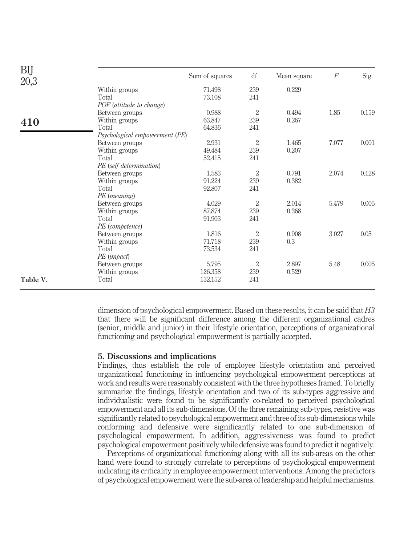| BIJ<br>20,3 |                                | Sum of squares | df             | Mean square | F     | Sig.  |
|-------------|--------------------------------|----------------|----------------|-------------|-------|-------|
|             | Within groups                  | 71.498         | 239            | 0.229       |       |       |
|             | Total                          | 73.108         | 241            |             |       |       |
|             | POF (attitude to change)       |                |                |             |       |       |
|             | Between groups                 | 0.988          | $\overline{2}$ | 0.494       | 1.85  | 0.159 |
| 410         | Within groups                  | 63.847         | 239            | 0.267       |       |       |
|             | Total                          | 64.836         | 241            |             |       |       |
|             | Psychological empowerment (PE) |                |                |             |       |       |
|             | Between groups                 | 2.931          | $\overline{2}$ | 1.465       | 7.077 | 0.001 |
|             | Within groups                  | 49.484         | 239            | 0.207       |       |       |
|             | Total                          | 52.415         | 241            |             |       |       |
|             | PE (self determination)        |                |                |             |       |       |
|             | Between groups                 | 1.583          | $\overline{2}$ | 0.791       | 2.074 | 0.128 |
|             | Within groups                  | 91.224         | 239            | 0.382       |       |       |
|             | Total                          | 92.807         | 241            |             |       |       |
|             | PE (meaning)                   |                |                |             |       |       |
|             | Between groups                 | 4.029          | $\overline{2}$ | 2.014       | 5.479 | 0.005 |
|             | Within groups                  | 87.874         | 239            | 0.368       |       |       |
|             | Total                          | 91.903         | 241            |             |       |       |
|             | PE (competence)                |                |                |             |       |       |
|             | Between groups                 | 1.816          | $\overline{2}$ | 0.908       | 3.027 | 0.05  |
|             | Within groups                  | 71.718         | 239            | 0.3         |       |       |
|             | Total                          | 73.534         | 241            |             |       |       |
|             | PE ( <i>impact</i> )           |                |                |             |       |       |
|             | Between groups                 | 5.795          | $\overline{2}$ | 2.897       | 5.48  | 0.005 |
|             | Within groups                  | 126.358        | 239            | 0.529       |       |       |
| Table V.    | Total                          | 132.152        | 241            |             |       |       |

dimension of psychological empowerment. Based on these results, it can be said that *H3* that there will be significant difference among the different organizational cadres (senior, middle and junior) in their lifestyle orientation, perceptions of organizational functioning and psychological empowerment is partially accepted.

#### 5. Discussions and implications

Findings, thus establish the role of employee lifestyle orientation and perceived organizational functioning in influencing psychological empowerment perceptions at work and results were reasonably consistent with the three hypotheses framed. To briefly summarize the findings, lifestyle orientation and two of its sub-types aggressive and individualistic were found to be significantly co-related to perceived psychological empowerment and all its sub-dimensions. Of the three remaining sub-types, resistive was significantly related to psychological empowerment and three of its sub-dimensions while conforming and defensive were significantly related to one sub-dimension of psychological empowerment. In addition, aggressiveness was found to predict psychological empowerment positively while defensive was found to predict it negatively.

Perceptions of organizational functioning along with all its sub-areas on the other hand were found to strongly correlate to perceptions of psychological empowerment indicating its criticality in employee empowerment interventions. Among the predictors of psychological empowerment were the sub-area of leadership and helpful mechanisms.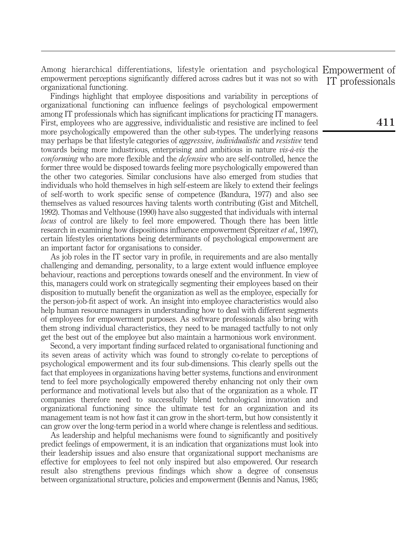Among hierarchical differentiations, lifestyle orientation and psychological Empowerment of empowerment perceptions significantly differed across cadres but it was not so with organizational functioning.

Findings highlight that employee dispositions and variability in perceptions of organizational functioning can influence feelings of psychological empowerment among IT professionals which has significant implications for practicing IT managers. First, employees who are aggressive, individualistic and resistive are inclined to feel more psychologically empowered than the other sub-types. The underlying reasons may perhaps be that lifestyle categories of *aggressive, individualistic* and *resistive* tend towards being more industrious, enterprising and ambitious in nature *vis-a`-vis* the *conforming* who are more flexible and the *defensive* who are self-controlled, hence the former three would be disposed towards feeling more psychologically empowered than the other two categories. Similar conclusions have also emerged from studies that individuals who hold themselves in high self-esteem are likely to extend their feelings of self-worth to work specific sense of competence (Bandura, 1977) and also see themselves as valued resources having talents worth contributing (Gist and Mitchell, 1992). Thomas and Velthouse (1990) have also suggested that individuals with internal *locus* of control are likely to feel more empowered. Though there has been little research in examining how dispositions influence empowerment (Spreitzer *et al.*, 1997), certain lifestyles orientations being determinants of psychological empowerment are an important factor for organisations to consider.

As job roles in the IT sector vary in profile, in requirements and are also mentally challenging and demanding, personality, to a large extent would influence employee behaviour, reactions and perceptions towards oneself and the environment. In view of this, managers could work on strategically segmenting their employees based on their disposition to mutually benefit the organization as well as the employee, especially for the person-job-fit aspect of work. An insight into employee characteristics would also help human resource managers in understanding how to deal with different segments of employees for empowerment purposes. As software professionals also bring with them strong individual characteristics, they need to be managed tactfully to not only get the best out of the employee but also maintain a harmonious work environment.

Second, a very important finding surfaced related to organisational functioning and its seven areas of activity which was found to strongly co-relate to perceptions of psychological empowerment and its four sub-dimensions. This clearly spells out the fact that employees in organizations having better systems, functions and environment tend to feel more psychologically empowered thereby enhancing not only their own performance and motivational levels but also that of the organization as a whole. IT companies therefore need to successfully blend technological innovation and organizational functioning since the ultimate test for an organization and its management team is not how fast it can grow in the short-term, but how consistently it can grow over the long-term period in a world where change is relentless and seditious.

As leadership and helpful mechanisms were found to significantly and positively predict feelings of empowerment, it is an indication that organizations must look into their leadership issues and also ensure that organizational support mechanisms are effective for employees to feel not only inspired but also empowered. Our research result also strengthens previous findings which show a degree of consensus between organizational structure, policies and empowerment (Bennis and Nanus, 1985;

IT professionals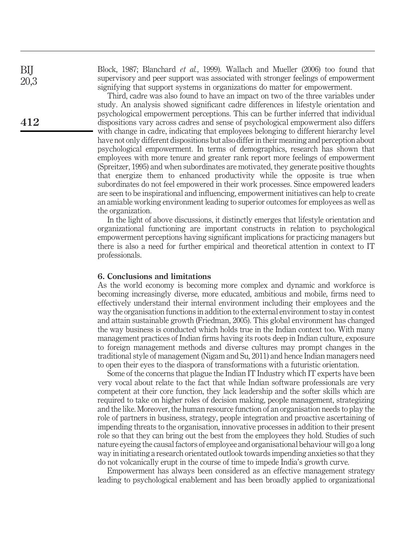Block, 1987; Blanchard *et al.*, 1999). Wallach and Mueller (2006) too found that supervisory and peer support was associated with stronger feelings of empowerment signifying that support systems in organizations do matter for empowerment.

Third, cadre was also found to have an impact on two of the three variables under study. An analysis showed significant cadre differences in lifestyle orientation and psychological empowerment perceptions. This can be further inferred that individual dispositions vary across cadres and sense of psychological empowerment also differs with change in cadre, indicating that employees belonging to different hierarchy level have not only different dispositions but also differ in their meaning and perception about psychological empowerment. In terms of demographics, research has shown that employees with more tenure and greater rank report more feelings of empowerment (Spreitzer, 1995) and when subordinates are motivated, they generate positive thoughts that energize them to enhanced productivity while the opposite is true when subordinates do not feel empowered in their work processes. Since empowered leaders are seen to be inspirational and influencing, empowerment initiatives can help to create an amiable working environment leading to superior outcomes for employees as well as the organization.

In the light of above discussions, it distinctly emerges that lifestyle orientation and organizational functioning are important constructs in relation to psychological empowerment perceptions having significant implications for practicing managers but there is also a need for further empirical and theoretical attention in context to IT professionals.

#### 6. Conclusions and limitations

As the world economy is becoming more complex and dynamic and workforce is becoming increasingly diverse, more educated, ambitious and mobile, firms need to effectively understand their internal environment including their employees and the way the organisation functions in addition to the external environment to stay in contest and attain sustainable growth (Friedman, 2005). This global environment has changed the way business is conducted which holds true in the Indian context too. With many management practices of Indian firms having its roots deep in Indian culture, exposure to foreign management methods and diverse cultures may prompt changes in the traditional style of management (Nigam and Su, 2011) and hence Indian managers need to open their eyes to the diaspora of transformations with a futuristic orientation.

Some of the concerns that plague the Indian IT Industry which IT experts have been very vocal about relate to the fact that while Indian software professionals are very competent at their core function, they lack leadership and the softer skills which are required to take on higher roles of decision making, people management, strategizing and the like. Moreover, the human resource function of an organisation needs to play the role of partners in business, strategy, people integration and proactive ascertaining of impending threats to the organisation, innovative processes in addition to their present role so that they can bring out the best from the employees they hold. Studies of such nature eyeing the causal factors of employee and organisational behaviour will go a long way in initiating a research orientated outlook towards impending anxieties so that they do not volcanically erupt in the course of time to impede India's growth curve.

Empowerment has always been considered as an effective management strategy leading to psychological enablement and has been broadly applied to organizational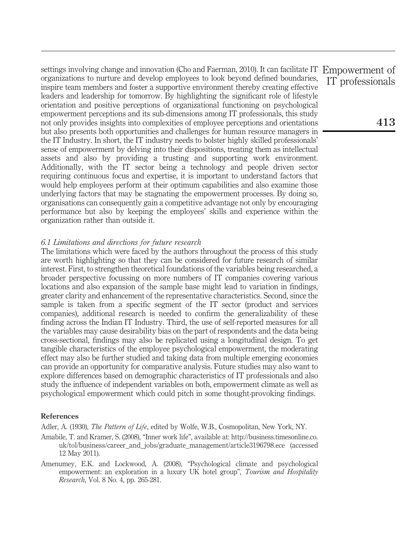settings involving change and innovation (Cho and Faerman, 2010). It can facilitate IT Empowerment of organizations to nurture and develop employees to look beyond defined boundaries, inspire team members and foster a supportive environment thereby creating effective leaders and leadership for tomorrow. By highlighting the significant role of lifestyle orientation and positive perceptions of organizational functioning on psychological empowerment perceptions and its sub-dimensions among IT professionals, this study not only provides insights into complexities of employee perceptions and orientations but also presents both opportunities and challenges for human resource managers in the IT Industry. In short, the IT industry needs to bolster highly skilled professionals' sense of empowerment by delving into their dispositions, treating them as intellectual assets and also by providing a trusting and supporting work environment. Additionally, with the IT sector being a technology and people driven sector requiring continuous focus and expertise, it is important to understand factors that would help employees perform at their optimum capabilities and also examine those underlying factors that may be stagnating the empowerment processes. By doing so, organisations can consequently gain a competitive advantage not only by encouraging performance but also by keeping the employees' skills and experience within the organization rather than outside it.

## *6.1 Limitations and directions for future research*

The limitations which were faced by the authors throughout the process of this study are worth highlighting so that they can be considered for future research of similar interest. First, to strengthen theoretical foundations of the variables being researched, a broader perspective focussing on more numbers of IT companies covering various locations and also expansion of the sample base might lead to variation in findings, greater clarity and enhancement of the representative characteristics. Second, since the sample is taken from a specific segment of the IT sector (product and services companies), additional research is needed to confirm the generalizability of these finding across the Indian IT Industry. Third, the use of self-reported measures for all the variables may cause desirability bias on the part of respondents and the data being cross-sectional, findings may also be replicated using a longitudinal design. To get tangible characteristics of the employee psychological empowerment, the moderating effect may also be further studied and taking data from multiple emerging economies can provide an opportunity for comparative analysis. Future studies may also want to explore differences based on demographic characteristics of IT professionals and also study the influence of independent variables on both, empowerment climate as well as psychological empowerment which could pitch in some thought-provoking findings.

## References

Adler, A. (1930), *The Pattern of Life*, edited by Wolfe, W.B., Cosmopolitan, New York, NY.

- Amabile, T. and Kramer, S. (2008), "Inner work life", available at: http://business.timesonline.co. uk/tol/business/career\_and\_jobs/graduate\_management/article3196798.ece (accessed 12 May 2011).
- Amenumey, E.K. and Lockwood, A. (2008), "Psychological climate and psychological empowerment: an exploration in a luxury UK hotel group", *Tourism and Hospitality Research*, Vol. 8 No. 4, pp. 265-281.

IT professionals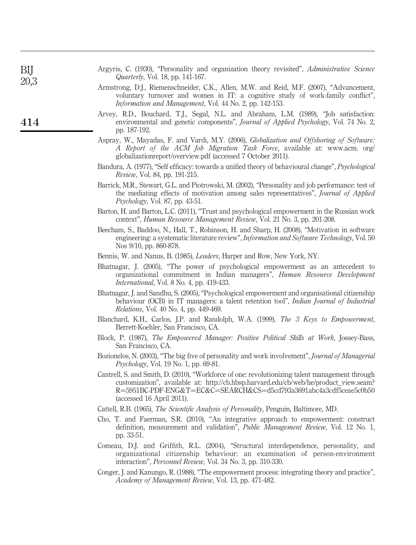| Argyris, C. (1930), "Personality and organization theory revisited", <i>Administrative Science</i> |  |  |  |  |
|----------------------------------------------------------------------------------------------------|--|--|--|--|
| <i>Quarterly</i> , Vol. 18, pp. 141-167.                                                           |  |  |  |  |

- Armstrong, D.J., Riemenschneider, C.K., Allen, M.W. and Reid, M.F. (2007), "Advancement, voluntary turnover and women in IT: a cognitive study of work-family conflict", *Information and Management*, Vol. 44 No. 2, pp. 142-153.
- Arvey, R.D., Bouchard, T.J., Segal, N.L. and Abraham, L.M. (1989), "Job satisfaction: environmental and genetic components", *Journal of Applied Psychology*, Vol. 74 No. 2, pp. 187-192.
- Aspray, W., Mayadas, F. and Vardi, M.Y. (2006), *Globalization and Offshoring of Software: A Report of the ACM Job Migration Task Force*, available at: www.acm. org/ globalizationreport/overview.pdf (accessed 7 October 2011).
- Bandura, A. (1977), "Self efficacy: towards a unified theory of behavioural change", *Psychological Review*, Vol. 84, pp. 191-215.
- Barrick, M.R., Stewart, G.L. and Piotrowski, M. (2002), "Personality and job performance: test of the mediating effects of motivation among sales representatives", *Journal of Applied Psychology*, Vol. 87, pp. 43-51.
- Barton, H. and Barton, L.C. (2011), "Trust and psychological empowerment in the Russian work context", *Human Resource Management Review*, Vol. 21 No. 3, pp. 201-208.
- Beecham, S., Baddoo, N., Hall, T., Robinson, H. and Sharp, H. (2008), "Motivation in software engineering: a systematic literature review", *Information and Software Technology*, Vol. 50 Nos 9/10, pp. 860-878.
- Bennis, W. and Nanus, B. (1985), *Leaders*, Harper and Row, New York, NY.
- Bhatnagar, J. (2005), "The power of psychological empowerment as an antecedent to organizational commitment in Indian managers", *Human Resource Development International*, Vol. 8 No. 4, pp. 419-433.
- Bhatnagar, J. and Sandhu, S. (2005), "Psychological empowerment and organisational citizenship behaviour (OCB) in IT managers: a talent retention tool", *Indian Journal of Industrial Relations*, Vol. 40 No. 4, pp. 449-469.
- Blanchard, K.H., Carlos, J.P. and Randolph, W.A. (1999), *The 3 Keys to Empowerment*, Berrett-Koehler, San Francisco, CA.
- Block, P. (1987), *The Empowered Manager: Positive Political Skills at Work*, Jossey-Bass, San Francisco, CA.
- Bozionelos, N. (2003), "The big five of personality and work involvement", *Journal of Managerial Psychology*, Vol. 19 No. 1, pp. 69-81.
- Cantrell, S. and Smith, D. (2010), "Workforce of one: revolutionizing talent management through customization", available at: http://cb.hbsp.harvard.edu/cb/web/he/product\_view.seam? R=5951BC-PDF-ENG&T=EC&C=SEARCH&CS=d5cd793a3691abc4a3cdf5ceae5c0b50 (accessed 16 April 2011).
- Cattell, R.B. (1965), *The Scientific Analysis of Personality*, Penguin, Baltimore, MD.
- Cho, T. and Faerman, S.R. (2010), "An integrative approach to empowerment: construct definition, measurement and validation", *Public Management Review*, Vol. 12 No. 1, pp. 33-51.
- Comeau, D.J. and Griffith, R.L. (2004), "Structural interdependence, personality, and organizational citizenship behaviour: an examination of person-environment interaction", *Personnel Review*, Vol. 34 No. 3, pp. 310-330.
- Conger, J. and Kanungo, R. (1988), "The empowerment process: integrating theory and practice", *Academy of Management Review*, Vol. 13, pp. 471-482.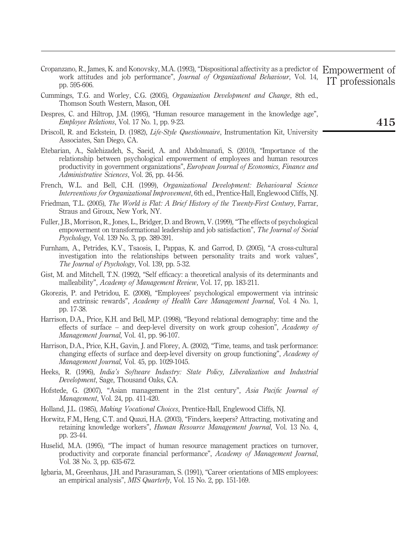- Cropanzano, R., James, K. and Konovsky, M.A. (1993), "Dispositional affectivity as a predictor of Empowerment of work attitudes and job performance", *Journal of Organizational Behaviour*, Vol. 14, pp. 595-606. IT professionals
- Cummings, T.G. and Worley, C.G. (2005), *Organization Development and Change*, 8th ed., Thomson South Western, Mason, OH.
- Despres, C. and Hiltrop, J.M. (1995), "Human resource management in the knowledge age", *Employee Relations*, Vol. 17 No. 1, pp. 9-23.
- Driscoll, R. and Eckstein, D. (1982), *Life-Style Questionnaire*, Instrumentation Kit, University Associates, San Diego, CA.
- Etebarian, A., Salehizadeh, S., Saeid, A. and Abdolmanafi, S. (2010), "Importance of the relationship between psychological empowerment of employees and human resources productivity in government organizations", *European Journal of Economics, Finance and Administrative Sciences*, Vol. 26, pp. 44-56.
- French, W.L. and Bell, C.H. (1999), *Organizational Development: Behavioural Science Interventions for Organizational Improvement*, 6th ed., Prentice-Hall, Englewood Cliffs, NJ.
- Friedman, T.L. (2005), *The World is Flat: A Brief History of the Twenty-First Century*, Farrar, Straus and Giroux, New York, NY.
- Fuller, J.B., Morrison, R., Jones, L., Bridger, D. and Brown, V. (1999), "The effects of psychological empowerment on transformational leadership and job satisfaction", *The Journal of Social Psychology*, Vol. 139 No. 3, pp. 389-391.
- Furnham, A., Petrides, K.V., Tsaosis, I., Pappas, K. and Garrod, D. (2005), "A cross-cultural investigation into the relationships between personality traits and work values", *The Journal of Psychology*, Vol. 139, pp. 5-32.
- Gist, M. and Mitchell, T.N. (1992), "Self efficacy: a theoretical analysis of its determinants and malleability", *Academy of Management Review*, Vol. 17, pp. 183-211.
- Gkorezis, P. and Petridou, E. (2008), "Employees' psychological empowerment via intrinsic and extrinsic rewards", *Academy of Health Care Management Journal*, Vol. 4 No. 1, pp. 17-38.
- Harrison, D.A., Price, K.H. and Bell, M.P. (1998), "Beyond relational demography: time and the effects of surface – and deep-level diversity on work group cohesion", *Academy of Management Journal*, Vol. 41, pp. 96-107.
- Harrison, D.A., Price, K.H., Gavin, J. and Florey, A. (2002), "Time, teams, and task performance: changing effects of surface and deep-level diversity on group functioning", *Academy of Management Journal*, Vol. 45, pp. 1029-1045.
- Heeks, R. (1996), *India's Software Industry: State Policy, Liberalization and Industrial Development*, Sage, Thousand Oaks, CA.
- Hofstede, G. (2007), "Asian management in the 21st century", *Asia Pacific Journal of Management*, Vol. 24, pp. 411-420.
- Holland, J.L. (1985), *Making Vocational Choices*, Prentice-Hall, Englewood Cliffs, NJ.
- Horwitz, F.M., Heng, C.T. and Quazi, H.A. (2003), "Finders, keepers? Attracting, motivating and retaining knowledge workers", *Human Resource Management Journal*, Vol. 13 No. 4, pp. 23-44.
- Huselid, M.A. (1995), "The impact of human resource management practices on turnover, productivity and corporate financial performance", *Academy of Management Journal*, Vol. 38 No. 3, pp. 635-672.
- Igbaria, M., Greenhaus, J.H. and Parasuraman, S. (1991), "Career orientations of MIS employees: an empirical analysis", *MIS Quarterly*, Vol. 15 No. 2, pp. 151-169.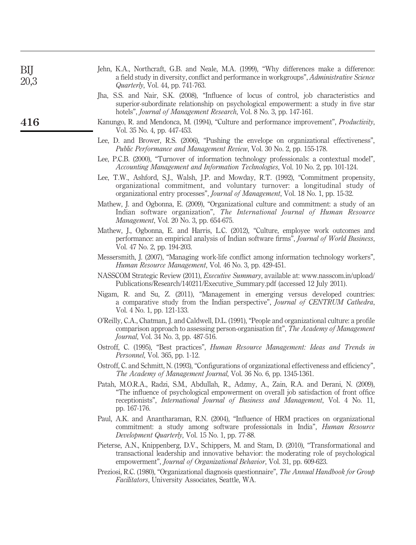| BIJ<br>20,3 | Jehn, K.A., Northcraft, G.B. and Neale, M.A. (1999), "Why differences make a difference:<br>a field study in diversity, conflict and performance in workgroups", Administrative Science<br>Quarterly, Vol. 44, pp. 741-763.                                                                     |
|-------------|-------------------------------------------------------------------------------------------------------------------------------------------------------------------------------------------------------------------------------------------------------------------------------------------------|
|             | Jha, S.S. and Nair, S.K. (2008), "Influence of locus of control, job characteristics and<br>superior-subordinate relationship on psychological empowerment: a study in five star<br>hotels", <i>Journal of Management Research</i> , Vol. 8 No. 3, pp. 147-161.                                 |
| 416         | Kanungo, R. and Mendonca, M. (1994), "Culture and performance improvement", <i>Productivity</i> ,<br>Vol. 35 No. 4, pp. 447-453.                                                                                                                                                                |
|             | Lee, D. and Brower, R.S. (2006), "Pushing the envelope on organizational effectiveness",<br><i>Public Performance and Management Review, Vol. 30 No. 2, pp. 155-178.</i>                                                                                                                        |
|             | Lee, P.C.B. (2000), "Turnover of information technology professionals: a contextual model",<br><i>Accounting Management and Information Technologies, Vol. 10 No. 2, pp. 101-124.</i>                                                                                                           |
|             | Lee, T.W., Ashford, S.J., Walsh, J.P. and Mowday, R.T. (1992), "Commitment propensity,<br>organizational commitment, and voluntary turnover: a longitudinal study of<br>organizational entry processes", Journal of Management, Vol. 18 No. 1, pp. 15-32.                                       |
|             | Mathew, J. and Ogbonna, E. (2009), "Organizational culture and commitment: a study of an<br>Indian software organization", The International Journal of Human Resource<br><i>Management</i> , Vol. 20 No. 3, pp. 654-675.                                                                       |
|             | Mathew, J., Ogbonna, E. and Harris, L.C. (2012), "Culture, employee work outcomes and<br>performance: an empirical analysis of Indian software firms", Journal of World Business,<br>Vol. 47 No. 2, pp. 194-203.                                                                                |
|             | Messersmith, J. (2007), "Managing work-life conflict among information technology workers",<br><i>Human Resource Management, Vol. 46 No. 3, pp. 429-451.</i>                                                                                                                                    |
|             | NASSCOM Strategic Review (2011), <i>Executive Summary</i> , available at: www.nasscom.in/upload/<br>Publications/Research/140211/Executive_Summary.pdf (accessed 12 July 2011).                                                                                                                 |
|             | Nigam, R. and Su, Z. (2011), "Management in emerging versus developed countries:<br>a comparative study from the Indian perspective", Journal of CENTRUM Cathedra,<br>Vol. 4 No. 1, pp. 121-133.                                                                                                |
|             | O'Reilly, C.A., Chatman, J. and Caldwell, D.L. (1991), "People and organizational culture: a profile<br>comparison approach to assessing person-organisation fit", The Academy of Management<br><i>Journal</i> , Vol. 34 No. 3, pp. 487-516.                                                    |
|             | Ostroff, C. (1995), "Best practices", Human Resource Management: Ideas and Trends in<br><i>Personnel</i> , Vol. 365, pp. 1-12.                                                                                                                                                                  |
|             | Ostroff, C. and Schmitt, N. (1993), "Configurations of organizational effectiveness and efficiency",<br><i>The Academy of Management Journal, Vol. 36 No. 6, pp. 1345-1361.</i>                                                                                                                 |
|             | Patah, M.O.R.A., Radzi, S.M., Abdullah, R., Adzmy, A., Zain, R.A. and Derani, N. (2009),<br>"The influence of psychological empowerment on overall job satisfaction of front office<br>receptionists", <i>International Journal of Business and Management</i> , Vol. 4 No. 11,<br>pp. 167-176. |
|             | Paul, A.K. and Anantharaman, R.N. (2004), "Influence of HRM practices on organizational<br>commitment: a study among software professionals in India", Human Resource<br>Development Quarterly, Vol. 15 No. 1, pp. 77-88.                                                                       |
|             | Pieterse, A.N., Knippenberg, D.V., Schippers, M. and Stam, D. (2010), "Transformational and<br>transactional leadership and innovative behavior: the moderating role of psychological<br>empowerment", Journal of Organizational Behavior, Vol. 31, pp. 609-623.                                |
|             | Preziosi, R.C. (1980), "Organizational diagnosis questionnaire", The Annual Handbook for Group<br>Facilitators, University Associates, Seattle, WA.                                                                                                                                             |
|             |                                                                                                                                                                                                                                                                                                 |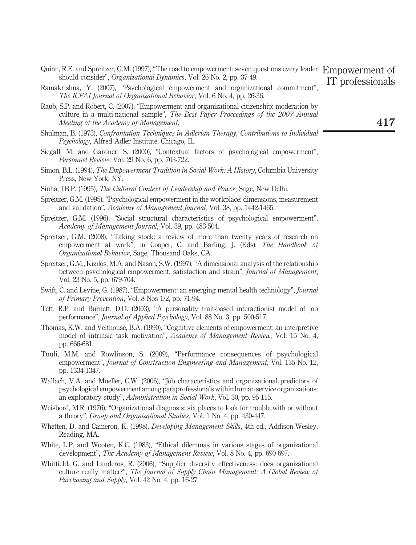- Quinn, R.E. and Spreitzer, G.M. (1997), "The road to empowerment: seven questions every leader Empowerment of should consider", *Organizational Dynamics*, Vol. 26 No. 2, pp. 37-49.
- Ramakrishna, Y. (2007), "Psychological empowerment and organizational commitment", *The ICFAI Journal of Organizational Behavior*, Vol. 6 No. 4, pp. 26-36.
- Raub, S.P. and Robert, C. (2007), "Empowerment and organizational citizenship: moderation by culture in a multi-national sample", *The Best Paper Proceedings of the 2007 Annual Meeting of the Academy of Management*.
- Shulman, B. (1973), *Confrontation Techniques in Adlerian Therapy, Contributions to Individual Psychology*, Alfred Adler Institute, Chicago, IL.
- Siegall, M. and Gardner, S. (2000), "Contextual factors of psychological empowerment", *Personnel Review*, Vol. 29 No. 6, pp. 703-722.
- Simon, B.L. (1994), *The Empowerment Tradition in Social Work: A History*, Columbia University Press, New York, NY.
- Sinha, J.B.P. (1995), *The Cultural Context of Leadership and Power*, Sage, New Delhi.
- Spreitzer, G.M. (1995), "Psychological empowerment in the workplace: dimensions, measurement and validation", *Academy of Management Journal*, Vol. 38, pp. 1442-1465.
- Spreitzer, G.M. (1996), "Social structural characteristics of psychological empowerment", *Academy of Management Journal*, Vol. 39, pp. 483-504.
- Spreitzer, G.M. (2008), "Taking stock: a review of more than twenty years of research on empowerment at work", in Cooper, C. and Barling, J. (Eds), *The Handbook of Organizational Behavior*, Sage, Thousand Oaks, CA.
- Spreitzer, G.M., Kizilos, M.A. and Nason, S.W. (1997), "A dimensional analysis of the relationship between psychological empowerment, satisfaction and strain", *Journal of Management*, Vol. 23 No. 5, pp. 679-704.
- Swift, C. and Levine, G. (1987), "Empowerment: an emerging mental health technology", *Journal of Primary Prevention*, Vol. 8 Nos 1/2, pp. 71-94.
- Tett, R.P. and Burnett, D.D. (2003), "A personality trait-based interactionist model of job performance", *Journal of Applied Psychology*, Vol. 88 No. 3, pp. 500-517.
- Thomas, K.W. and Velthouse, B.A. (1990), "Cognitive elements of empowerment: an interpretive model of intrinsic task motivation", *Academy of Management Review*, Vol. 15 No. 4, pp. 666-681.
- Tuuli, M.M. and Rowlinson, S. (2009), "Performance consequences of psychological empowerment", *Journal of Construction Engineering and Management*, Vol. 135 No. 12, pp. 1334-1347.
- Wallach, V.A. and Mueller, C.W. (2006), "Job characteristics and organizational predictors of psychological empowerment among paraprofessionals within human service organizations: an exploratory study", *Administration in Social Work*, Vol. 30, pp. 95-115.
- Weisbord, M.R. (1976), "Organizational diagnosis: six places to look for trouble with or without a theory", *Group and Organizational Studies*, Vol. 1 No. 4, pp. 430-447.
- Whetten, D. and Cameron, K. (1998), *Developing Management Skills*, 4th ed., Addison-Wesley, Reading, MA.
- White, L.P. and Wooten, K.C. (1983), "Ethical dilemmas in various stages of organizational development", *The Academy of Management Review*, Vol. 8 No. 4, pp. 690-697.
- Whitfield, G. and Landeros, R. (2006), "Supplier diversity effectiveness: does organizational culture really matter?", *The Journal of Supply Chain Management: A Global Review of Purchasing and Supply*, Vol. 42 No. 4, pp. 16-27.

417

IT professionals